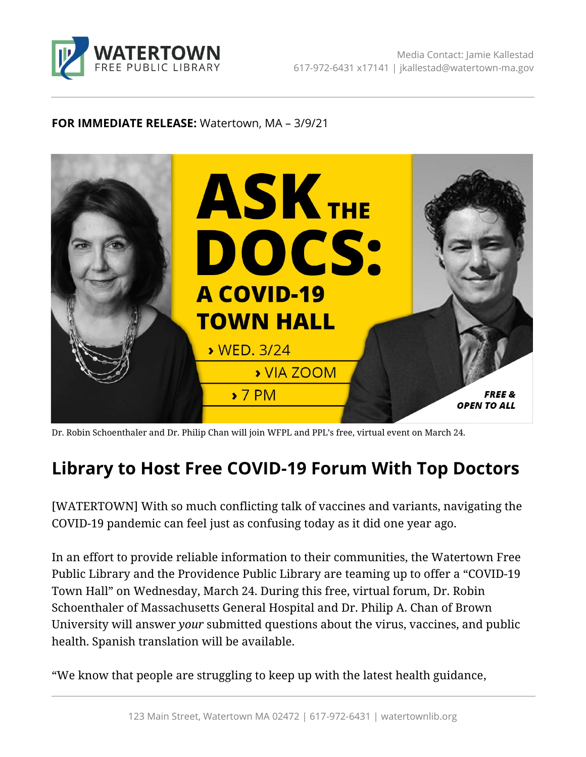

## **FOR IMMEDIATE RELEASE:** Watertown, MA – 3/9/21



Dr. Robin Schoenthaler and Dr. Philip Chan will join WFPL and PPL's free, virtual event on March 24.

## **Library to Host Free COVID-19 Forum With Top Doctors**

[WATERTOWN] With so much conflicting talk of vaccines and variants, navigating the COVID-19 pandemic can feel just as confusing today as it did one year ago.

In an effort to provide reliable information to their communities, the Watertown Free Public Library and the Providence Public Library are teaming up to offer a "COVID-19 Town Hall" on Wednesday, March 24. During this free, virtual forum, Dr. Robin Schoenthaler of Massachusetts General Hospital and Dr. Philip A. Chan of Brown University will answer *your* submitted questions about the virus, vaccines, and public health. Spanish translation will be available.

"We know that people are struggling to keep up with the latest health guidance,